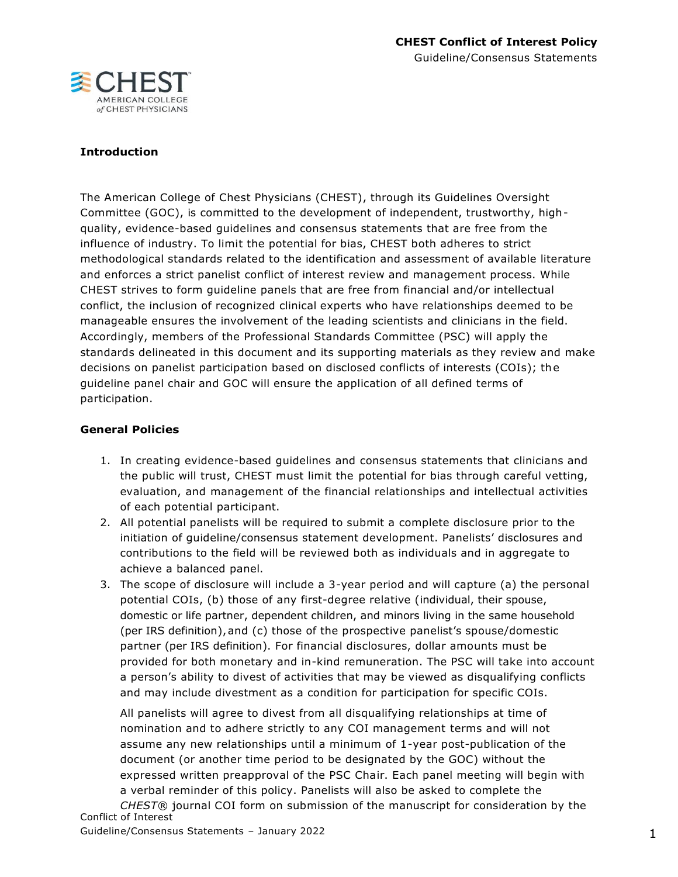

## **Introduction**

The American College of Chest Physicians (CHEST), through its Guidelines Oversight Committee (GOC), is committed to the development of independent, trustworthy, highquality, evidence-based guidelines and consensus statements that are free from the influence of industry. To limit the potential for bias, CHEST both adheres to strict methodological standards related to the identification and assessment of available literature and enforces a strict panelist conflict of interest review and management process. While CHEST strives to form guideline panels that are free from financial and/or intellectual conflict, the inclusion of recognized clinical experts who have relationships deemed to be manageable ensures the involvement of the leading scientists and clinicians in the field. Accordingly, members of the Professional Standards Committee (PSC) will apply the standards delineated in this document and its supporting materials as they review and make decisions on panelist participation based on disclosed conflicts of interests (COIs); the guideline panel chair and GOC will ensure the application of all defined terms of participation.

#### **General Policies**

- 1. In creating evidence-based guidelines and consensus statements that clinicians and the public will trust, CHEST must limit the potential for bias through careful vetting, evaluation, and management of the financial relationships and intellectual activities of each potential participant.
- 2. All potential panelists will be required to submit a complete disclosure prior to the initiation of guideline/consensus statement development. Panelists' disclosures and contributions to the field will be reviewed both as individuals and in aggregate to achieve a balanced panel.
- 3. The scope of disclosure will include a 3-year period and will capture (a) the personal potential COIs, (b) those of any first-degree relative (individual, their spouse, domestic or life partner, dependent children, and minors living in the same household (per IRS definition),and (c) those of the prospective panelist's spouse/domestic partner (per IRS definition). For financial disclosures, dollar amounts must be provided for both monetary and in-kind remuneration. The PSC will take into account a person's ability to divest of activities that may be viewed as disqualifying conflicts and may include divestment as a condition for participation for specific COIs.

Conflict of Interest All panelists will agree to divest from all disqualifying relationships at time of nomination and to adhere strictly to any COI management terms and will not assume any new relationships until a minimum of 1-year post-publication of the document (or another time period to be designated by the GOC) without the expressed written preapproval of the PSC Chair. Each panel meeting will begin with a verbal reminder of this policy. Panelists will also be asked to complete the *CHEST*® journal COI form on submission of the manuscript for consideration by the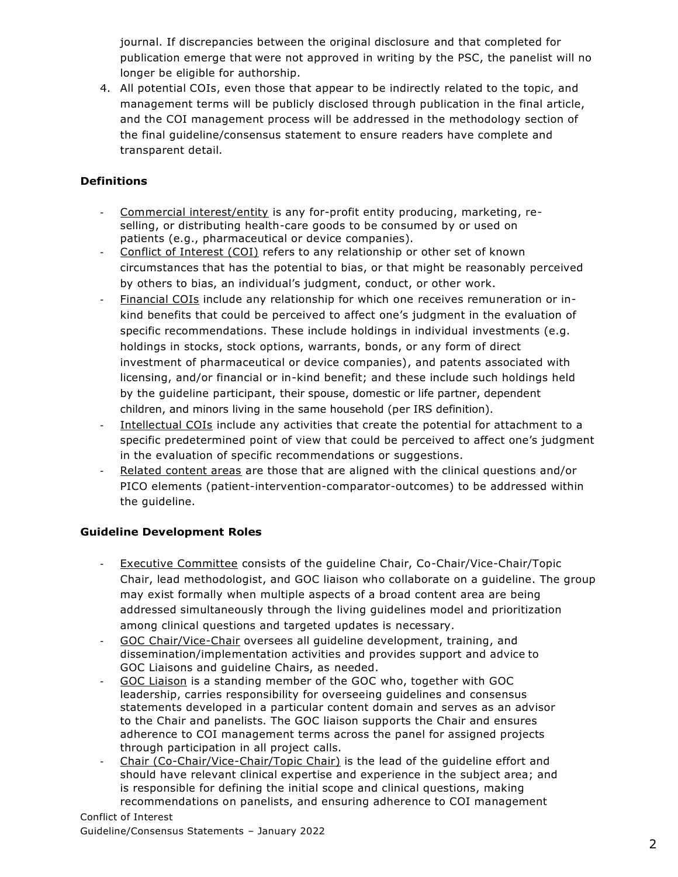journal. If discrepancies between the original disclosure and that completed for publication emerge that were not approved in writing by the PSC, the panelist will no longer be eligible for authorship.

4. All potential COIs, even those that appear to be indirectly related to the topic, and management terms will be publicly disclosed through publication in the final article, and the COI management process will be addressed in the methodology section of the final guideline/consensus statement to ensure readers have complete and transparent detail.

# **Definitions**

- Commercial interest/entity is any for-profit entity producing, marketing, reselling, or distributing health-care goods to be consumed by or used on patients (e.g., pharmaceutical or device companies).
- Conflict of Interest (COI) refers to any relationship or other set of known circumstances that has the potential to bias, or that might be reasonably perceived by others to bias, an individual's judgment, conduct, or other work.
- Financial COIs include any relationship for which one receives remuneration or inkind benefits that could be perceived to affect one's judgment in the evaluation of specific recommendations. These include holdings in individual investments (e.g. holdings in stocks, stock options, warrants, bonds, or any form of direct investment of pharmaceutical or device companies), and patents associated with licensing, and/or financial or in-kind benefit; and these include such holdings held by the guideline participant, their spouse, domestic or life partner, dependent children, and minors living in the same household (per IRS definition).
- Intellectual COIs include any activities that create the potential for attachment to a specific predetermined point of view that could be perceived to affect one's judgment in the evaluation of specific recommendations or suggestions.
- Related content areas are those that are aligned with the clinical questions and/or PICO elements (patient-intervention-comparator-outcomes) to be addressed within the guideline.

## **Guideline Development Roles**

- Executive Committee consists of the guideline Chair, Co-Chair/Vice-Chair/Topic Chair, lead methodologist, and GOC liaison who collaborate on a guideline. The group may exist formally when multiple aspects of a broad content area are being addressed simultaneously through the living guidelines model and prioritization among clinical questions and targeted updates is necessary.
- GOC Chair/Vice-Chair oversees all guideline development, training, and dissemination/implementation activities and provides support and advice to GOC Liaisons and guideline Chairs, as needed.
- GOC Liaison is a standing member of the GOC who, together with GOC leadership, carries responsibility for overseeing guidelines and consensus statements developed in a particular content domain and serves as an advisor to the Chair and panelists. The GOC liaison supports the Chair and ensures adherence to COI management terms across the panel for assigned projects through participation in all project calls.
- Chair (Co-Chair/Vice-Chair/Topic Chair) is the lead of the guideline effort and should have relevant clinical expertise and experience in the subject area; and is responsible for defining the initial scope and clinical questions, making recommendations on panelists, and ensuring adherence to COI management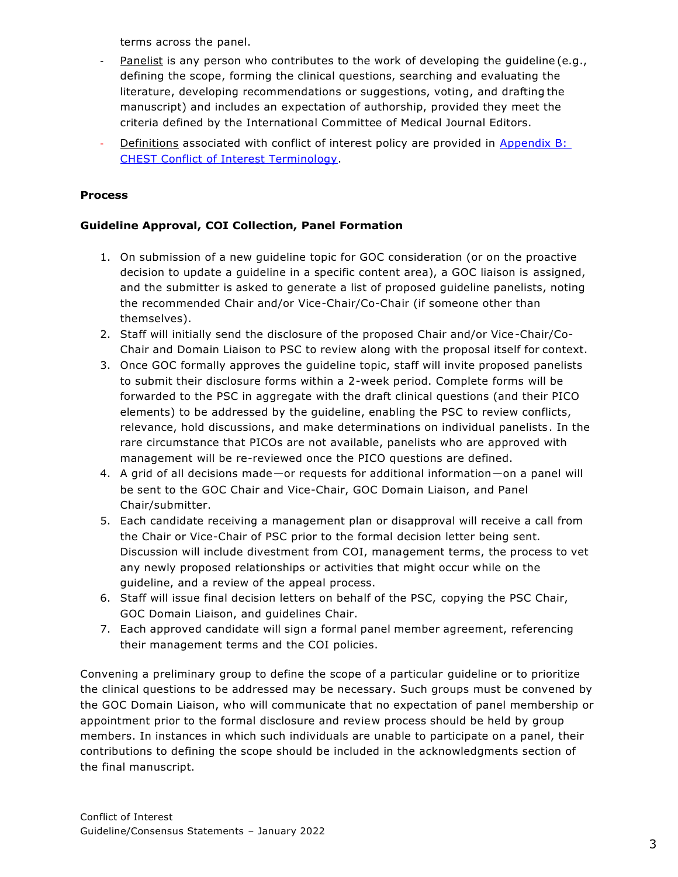terms across the panel.

- Panelist is any person who contributes to the work of developing the guideline (e.g., defining the scope, forming the clinical questions, searching and evaluating the literature, developing recommendations or suggestions, voting, and drafting the manuscript) and includes an expectation of authorship, provided they meet the criteria defined by the International Committee of Medical Journal Editors.
- Definitions associated with conflict of interest policy are provided in Appendix B: [CHEST Conflict of Interest Terminology.](#page-9-0)

## **Process**

## **Guideline Approval, COI Collection, Panel Formation**

- 1. On submission of a new guideline topic for GOC consideration (or on the proactive decision to update a guideline in a specific content area), a GOC liaison is assigned, and the submitter is asked to generate a list of proposed guideline panelists, noting the recommended Chair and/or Vice-Chair/Co-Chair (if someone other than themselves).
- 2. Staff will initially send the disclosure of the proposed Chair and/or Vice-Chair/Co-Chair and Domain Liaison to PSC to review along with the proposal itself for context.
- 3. Once GOC formally approves the guideline topic, staff will invite proposed panelists to submit their disclosure forms within a 2-week period. Complete forms will be forwarded to the PSC in aggregate with the draft clinical questions (and their PICO elements) to be addressed by the guideline, enabling the PSC to review conflicts, relevance, hold discussions, and make determinations on individual panelists. In the rare circumstance that PICOs are not available, panelists who are approved with management will be re-reviewed once the PICO questions are defined.
- 4. A grid of all decisions made—or requests for additional information—on a panel will be sent to the GOC Chair and Vice-Chair, GOC Domain Liaison, and Panel Chair/submitter.
- 5. Each candidate receiving a management plan or disapproval will receive a call from the Chair or Vice-Chair of PSC prior to the formal decision letter being sent. Discussion will include divestment from COI, management terms, the process to vet any newly proposed relationships or activities that might occur while on the guideline, and a review of the appeal process.
- 6. Staff will issue final decision letters on behalf of the PSC, copying the PSC Chair, GOC Domain Liaison, and guidelines Chair.
- 7. Each approved candidate will sign a formal panel member agreement, referencing their management terms and the COI policies.

Convening a preliminary group to define the scope of a particular guideline or to prioritize the clinical questions to be addressed may be necessary. Such groups must be convened by the GOC Domain Liaison, who will communicate that no expectation of panel membership or appointment prior to the formal disclosure and review process should be held by group members. In instances in which such individuals are unable to participate on a panel, their contributions to defining the scope should be included in the acknowledgments section of the final manuscript.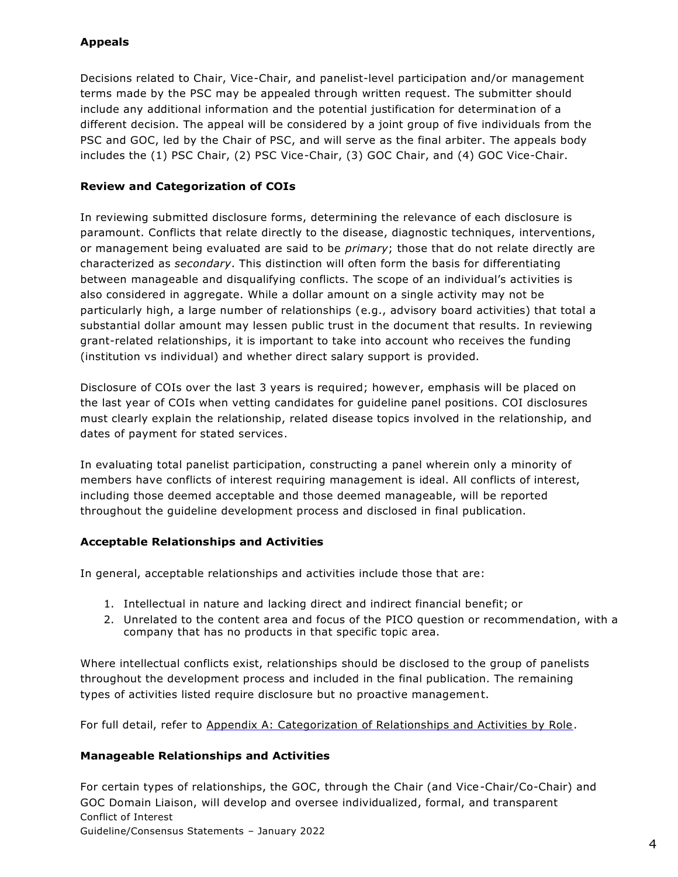## **Appeals**

Decisions related to Chair, Vice-Chair, and panelist-level participation and/or management terms made by the PSC may be appealed through written request. The submitter should include any additional information and the potential justification for determination of a different decision. The appeal will be considered by a joint group of five individuals from the PSC and GOC, led by the Chair of PSC, and will serve as the final arbiter. The appeals body includes the (1) PSC Chair, (2) PSC Vice-Chair, (3) GOC Chair, and (4) GOC Vice-Chair.

## **Review and Categorization of COIs**

In reviewing submitted disclosure forms, determining the relevance of each disclosure is paramount. Conflicts that relate directly to the disease, diagnostic techniques, interventions, or management being evaluated are said to be *primary*; those that do not relate directly are characterized as *secondary*. This distinction will often form the basis for differentiating between manageable and disqualifying conflicts. The scope of an individual's activities is also considered in aggregate. While a dollar amount on a single activity may not be particularly high, a large number of relationships (e.g., advisory board activities) that total a substantial dollar amount may lessen public trust in the document that results. In reviewing grant-related relationships, it is important to take into account who receives the funding (institution vs individual) and whether direct salary support is provided.

Disclosure of COIs over the last 3 years is required; however, emphasis will be placed on the last year of COIs when vetting candidates for guideline panel positions. COI disclosures must clearly explain the relationship, related disease topics involved in the relationship, and dates of payment for stated services.

In evaluating total panelist participation, constructing a panel wherein only a minority of members have conflicts of interest requiring management is ideal. All conflicts of interest, including those deemed acceptable and those deemed manageable, will be reported throughout the guideline development process and disclosed in final publication.

## **Acceptable Relationships and Activities**

In general, acceptable relationships and activities include those that are:

- 1. Intellectual in nature and lacking direct and indirect financial benefit; or
- 2. Unrelated to the content area and focus of the PICO question or recommendation, with a company that has no products in that specific topic area.

Where intellectual conflicts exist, relationships should be disclosed to the group of panelists throughout the development process and included in the final publication. The remaining types of activities listed require disclosure but no proactive management.

For full detail, refer to Appendix A: Categorization of Relationships and Activities by Role.

#### **Manageable Relationships and Activities**

Conflict of Interest Guideline/Consensus Statements – January 2022 For certain types of relationships, the GOC, through the Chair (and Vice-Chair/Co-Chair) and GOC Domain Liaison, will develop and oversee individualized, formal, and transparent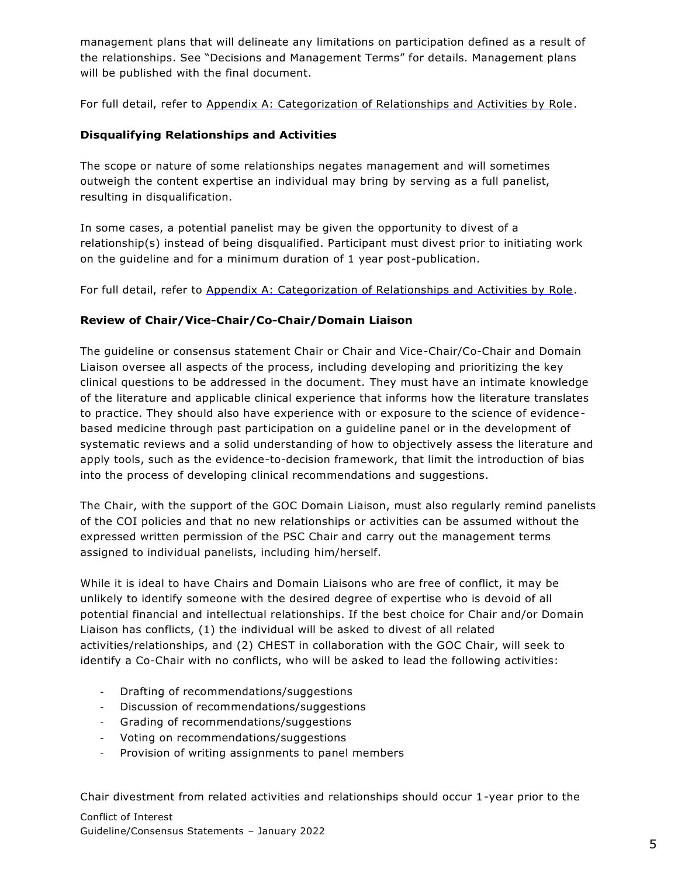management plans that will delineate any limitations on participation defined as a result of the relationships. See "Decisions and Management Terms" for details. Management plans will be published with the final document.

For full detail, refer to Appendix A: Categorization of Relationships and Activities by Role.

## **Disqualifying Relationships and Activities**

The scope or nature of some relationships negates management and will sometimes outweigh the content expertise an individual may bring by serving as a full panelist, resulting in disqualification.

In some cases, a potential panelist may be given the opportunity to divest of a relationship(s) instead of being disqualified. Participant must divest prior to initiating work on the guideline and for a minimum duration of 1 year post-publication.

For full detail, refer to Appendix A: Categorization of Relationships and Activities by Role.

## **Review of Chair/Vice-Chair/Co-Chair/Domain Liaison**

The guideline or consensus statement Chair or Chair and Vice-Chair/Co-Chair and Domain Liaison oversee all aspects of the process, including developing and prioritizing the key clinical questions to be addressed in the document. They must have an intimate knowledge of the literature and applicable clinical experience that informs how the literature translates to practice. They should also have experience with or exposure to the science of evidencebased medicine through past participation on a guideline panel or in the development of systematic reviews and a solid understanding of how to objectively assess the literature and apply tools, such as the evidence-to-decision framework, that limit the introduction of bias into the process of developing clinical recommendations and suggestions.

The Chair, with the support of the GOC Domain Liaison, must also regularly remind panelists of the COI policies and that no new relationships or activities can be assumed without the expressed written permission of the PSC Chair and carry out the management terms assigned to individual panelists, including him/herself.

While it is ideal to have Chairs and Domain Liaisons who are free of conflict, it may be unlikely to identify someone with the desired degree of expertise who is devoid of all potential financial and intellectual relationships. If the best choice for Chair and/or Domain Liaison has conflicts, (1) the individual will be asked to divest of all related activities/relationships, and (2) CHEST in collaboration with the GOC Chair, will seek to identify a Co-Chair with no conflicts, who will be asked to lead the following activities:

- Drafting of recommendations/suggestions
- Discussion of recommendations/suggestions
- Grading of recommendations/suggestions
- Voting on recommendations/suggestions
- Provision of writing assignments to panel members

Chair divestment from related activities and relationships should occur 1-year prior to the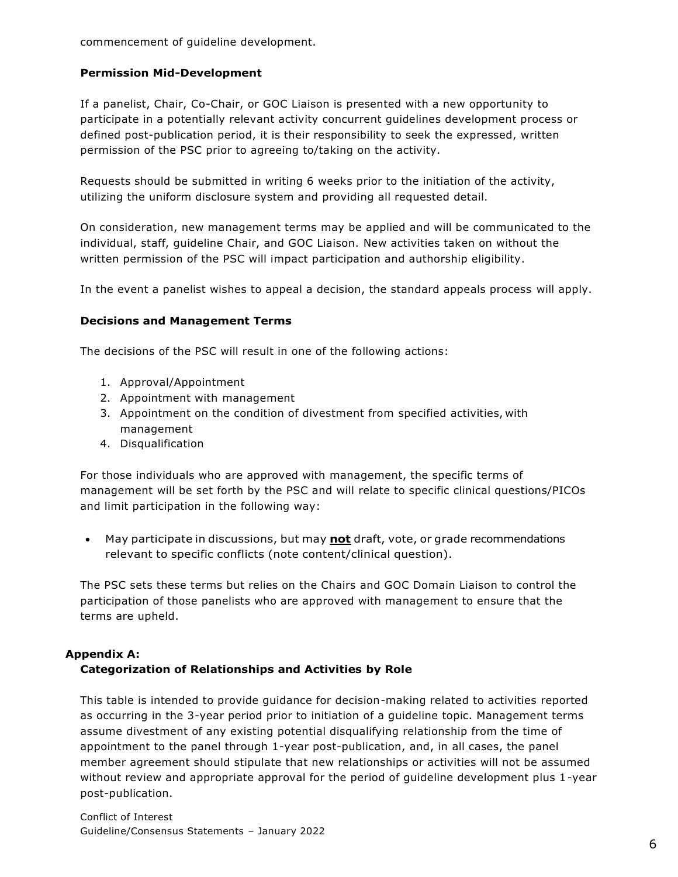commencement of guideline development.

#### **Permission Mid-Development**

If a panelist, Chair, Co-Chair, or GOC Liaison is presented with a new opportunity to participate in a potentially relevant activity concurrent guidelines development process or defined post-publication period, it is their responsibility to seek the expressed, written permission of the PSC prior to agreeing to/taking on the activity.

Requests should be submitted in writing 6 weeks prior to the initiation of the activity, utilizing the uniform disclosure system and providing all requested detail.

On consideration, new management terms may be applied and will be communicated to the individual, staff, guideline Chair, and GOC Liaison. New activities taken on without the written permission of the PSC will impact participation and authorship eligibility.

In the event a panelist wishes to appeal a decision, the standard appeals process will apply.

#### **Decisions and Management Terms**

The decisions of the PSC will result in one of the following actions:

- 1. Approval/Appointment
- 2. Appointment with management
- 3. Appointment on the condition of divestment from specified activities, with management
- 4. Disqualification

For those individuals who are approved with management, the specific terms of management will be set forth by the PSC and will relate to specific clinical questions/PICOs and limit participation in the following way:

• May participate in discussions, but may **not** draft, vote, or grade recommendations relevant to specific conflicts (note content/clinical question).

The PSC sets these terms but relies on the Chairs and GOC Domain Liaison to control the participation of those panelists who are approved with management to ensure that the terms are upheld.

#### **Appendix A:**

## **Categorization of Relationships and Activities by Role**

This table is intended to provide guidance for decision-making related to activities reported as occurring in the 3-year period prior to initiation of a guideline topic. Management terms assume divestment of any existing potential disqualifying relationship from the time of appointment to the panel through 1-year post-publication, and, in all cases, the panel member agreement should stipulate that new relationships or activities will not be assumed without review and appropriate approval for the period of guideline development plus 1-year post-publication.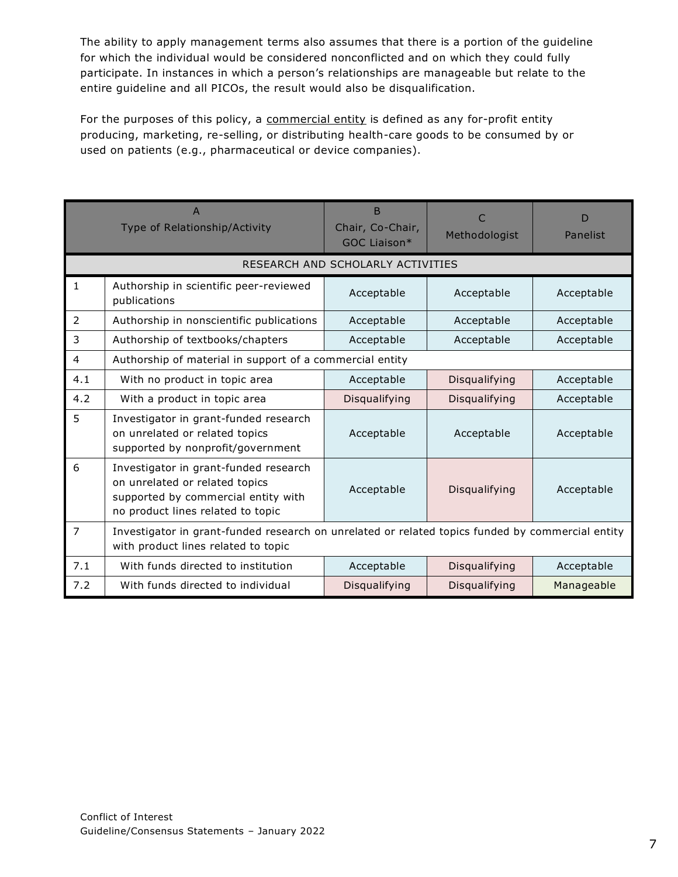The ability to apply management terms also assumes that there is a portion of the guideline for which the individual would be considered nonconflicted and on which they could fully participate. In instances in which a person's relationships are manageable but relate to the entire guideline and all PICOs, the result would also be disqualification.

For the purposes of this policy, a commercial entity is defined as any for-profit entity producing, marketing, re-selling, or distributing health-care goods to be consumed by or used on patients (e.g., pharmaceutical or device companies).

|                                   | $\overline{A}$<br>Type of Relationship/Activity                                                                                                     | <sub>B</sub><br>Chair, Co-Chair,<br>GOC Liaison* | Methodologist | D<br>Panelist |  |  |
|-----------------------------------|-----------------------------------------------------------------------------------------------------------------------------------------------------|--------------------------------------------------|---------------|---------------|--|--|
| RESEARCH AND SCHOLARLY ACTIVITIES |                                                                                                                                                     |                                                  |               |               |  |  |
| $\mathbf{1}$                      | Authorship in scientific peer-reviewed<br>publications                                                                                              | Acceptable                                       | Acceptable    | Acceptable    |  |  |
| 2                                 | Authorship in nonscientific publications                                                                                                            | Acceptable                                       | Acceptable    | Acceptable    |  |  |
| 3                                 | Authorship of textbooks/chapters                                                                                                                    | Acceptable                                       | Acceptable    | Acceptable    |  |  |
| $\overline{4}$                    | Authorship of material in support of a commercial entity                                                                                            |                                                  |               |               |  |  |
| 4.1                               | With no product in topic area                                                                                                                       | Acceptable                                       | Disqualifying | Acceptable    |  |  |
| 4.2                               | With a product in topic area                                                                                                                        | Disqualifying                                    | Disqualifying | Acceptable    |  |  |
| 5                                 | Investigator in grant-funded research<br>on unrelated or related topics<br>supported by nonprofit/government                                        | Acceptable                                       | Acceptable    | Acceptable    |  |  |
| 6                                 | Investigator in grant-funded research<br>on unrelated or related topics<br>supported by commercial entity with<br>no product lines related to topic | Acceptable                                       | Disqualifying | Acceptable    |  |  |
| $\overline{7}$                    | Investigator in grant-funded research on unrelated or related topics funded by commercial entity<br>with product lines related to topic             |                                                  |               |               |  |  |
| 7.1                               | With funds directed to institution                                                                                                                  | Acceptable                                       | Disqualifying | Acceptable    |  |  |
| 7.2                               | With funds directed to individual                                                                                                                   | Disqualifying                                    | Disqualifying | Manageable    |  |  |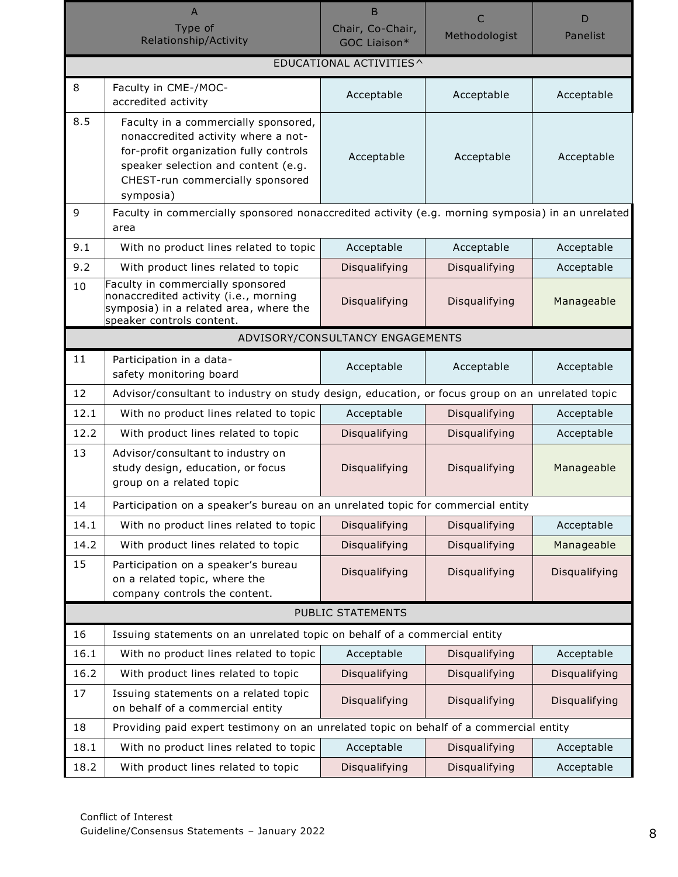|                         | $\overline{A}$                                                                                                                                                                                                | B                                |               | D             |  |  |
|-------------------------|---------------------------------------------------------------------------------------------------------------------------------------------------------------------------------------------------------------|----------------------------------|---------------|---------------|--|--|
|                         | Type of<br>Relationship/Activity                                                                                                                                                                              | Chair, Co-Chair,<br>GOC Liaison* | Methodologist | Panelist      |  |  |
| EDUCATIONAL ACTIVITIES^ |                                                                                                                                                                                                               |                                  |               |               |  |  |
| 8                       | Faculty in CME-/MOC-<br>accredited activity                                                                                                                                                                   | Acceptable                       | Acceptable    | Acceptable    |  |  |
| 8.5                     | Faculty in a commercially sponsored,<br>nonaccredited activity where a not-<br>for-profit organization fully controls<br>speaker selection and content (e.g.<br>CHEST-run commercially sponsored<br>symposia) | Acceptable                       | Acceptable    | Acceptable    |  |  |
| 9                       | Faculty in commercially sponsored nonaccredited activity (e.g. morning symposia) in an unrelated<br>area                                                                                                      |                                  |               |               |  |  |
| 9.1                     | With no product lines related to topic                                                                                                                                                                        | Acceptable                       | Acceptable    | Acceptable    |  |  |
| 9.2                     | With product lines related to topic                                                                                                                                                                           | Disqualifying                    | Disqualifying | Acceptable    |  |  |
| 10                      | Faculty in commercially sponsored<br>nonaccredited activity (i.e., morning<br>symposia) in a related area, where the<br>speaker controls content.                                                             | Disqualifying                    | Disqualifying | Manageable    |  |  |
|                         |                                                                                                                                                                                                               | ADVISORY/CONSULTANCY ENGAGEMENTS |               |               |  |  |
| 11                      | Participation in a data-<br>safety monitoring board                                                                                                                                                           | Acceptable                       | Acceptable    | Acceptable    |  |  |
| 12                      | Advisor/consultant to industry on study design, education, or focus group on an unrelated topic                                                                                                               |                                  |               |               |  |  |
| 12.1                    | With no product lines related to topic                                                                                                                                                                        | Acceptable                       | Disqualifying | Acceptable    |  |  |
| 12.2                    | With product lines related to topic                                                                                                                                                                           | Disqualifying                    | Disqualifying | Acceptable    |  |  |
| 13                      | Advisor/consultant to industry on<br>study design, education, or focus<br>group on a related topic                                                                                                            | Disqualifying                    | Disqualifying | Manageable    |  |  |
| 14                      | Participation on a speaker's bureau on an unrelated topic for commercial entity                                                                                                                               |                                  |               |               |  |  |
| 14.1                    | With no product lines related to topic                                                                                                                                                                        | Disqualifying                    | Disqualifying | Acceptable    |  |  |
| 14.2                    | With product lines related to topic                                                                                                                                                                           | Disqualifying                    | Disqualifying | Manageable    |  |  |
| 15                      | Participation on a speaker's bureau<br>on a related topic, where the<br>company controls the content.                                                                                                         | Disqualifying                    | Disqualifying | Disqualifying |  |  |
|                         |                                                                                                                                                                                                               | PUBLIC STATEMENTS                |               |               |  |  |
| 16                      | Issuing statements on an unrelated topic on behalf of a commercial entity                                                                                                                                     |                                  |               |               |  |  |
| 16.1                    | With no product lines related to topic                                                                                                                                                                        | Acceptable                       | Disqualifying | Acceptable    |  |  |
| 16.2                    | With product lines related to topic                                                                                                                                                                           | Disqualifying                    | Disqualifying | Disqualifying |  |  |
| 17                      | Issuing statements on a related topic<br>on behalf of a commercial entity                                                                                                                                     | Disqualifying                    | Disqualifying | Disqualifying |  |  |
| 18                      | Providing paid expert testimony on an unrelated topic on behalf of a commercial entity                                                                                                                        |                                  |               |               |  |  |
| 18.1                    | With no product lines related to topic                                                                                                                                                                        | Acceptable                       | Disqualifying | Acceptable    |  |  |
| 18.2                    | With product lines related to topic                                                                                                                                                                           | Disqualifying                    | Disqualifying | Acceptable    |  |  |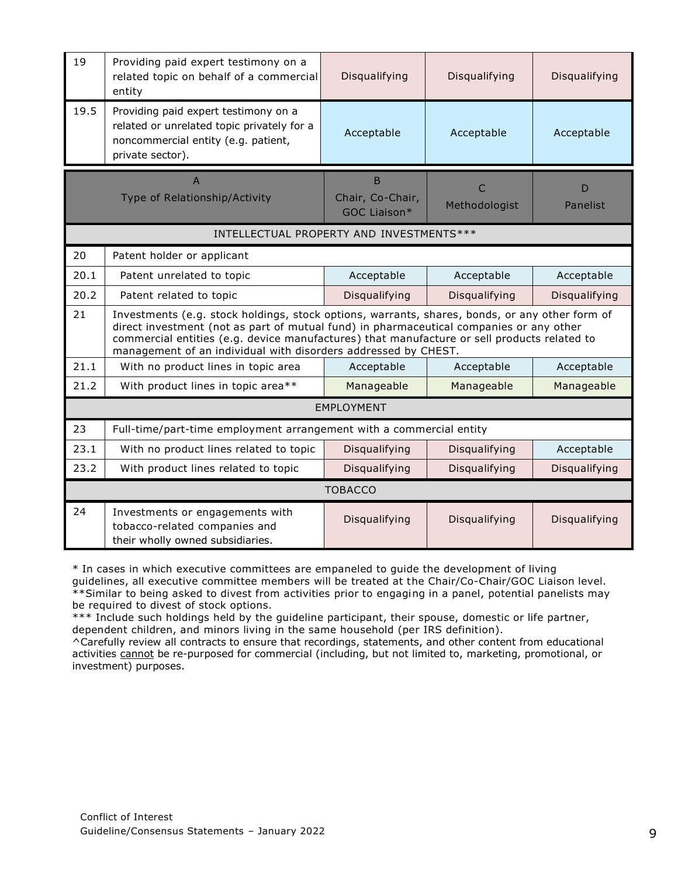| 19                                        | Providing paid expert testimony on a<br>related topic on behalf of a commercial<br>entity                                                                                                                                                                                                                                                                  | Disqualifying                         | Disqualifying      | Disqualifying |  |  |
|-------------------------------------------|------------------------------------------------------------------------------------------------------------------------------------------------------------------------------------------------------------------------------------------------------------------------------------------------------------------------------------------------------------|---------------------------------------|--------------------|---------------|--|--|
| 19.5                                      | Providing paid expert testimony on a<br>related or unrelated topic privately for a<br>noncommercial entity (e.g. patient,<br>private sector).                                                                                                                                                                                                              | Acceptable                            | Acceptable         | Acceptable    |  |  |
|                                           | $\mathsf{A}$<br>Type of Relationship/Activity                                                                                                                                                                                                                                                                                                              | B<br>Chair, Co-Chair,<br>GOC Liaison* | C<br>Methodologist | D<br>Panelist |  |  |
| INTELLECTUAL PROPERTY AND INVESTMENTS *** |                                                                                                                                                                                                                                                                                                                                                            |                                       |                    |               |  |  |
| 20                                        | Patent holder or applicant                                                                                                                                                                                                                                                                                                                                 |                                       |                    |               |  |  |
| 20.1                                      | Patent unrelated to topic                                                                                                                                                                                                                                                                                                                                  | Acceptable                            | Acceptable         | Acceptable    |  |  |
| 20.2                                      | Patent related to topic                                                                                                                                                                                                                                                                                                                                    | Disqualifying                         | Disqualifying      | Disqualifying |  |  |
| 21                                        | Investments (e.g. stock holdings, stock options, warrants, shares, bonds, or any other form of<br>direct investment (not as part of mutual fund) in pharmaceutical companies or any other<br>commercial entities (e.g. device manufactures) that manufacture or sell products related to<br>management of an individual with disorders addressed by CHEST. |                                       |                    |               |  |  |
| 21.1                                      | With no product lines in topic area                                                                                                                                                                                                                                                                                                                        | Acceptable                            | Acceptable         | Acceptable    |  |  |
| 21.2                                      | With product lines in topic area**                                                                                                                                                                                                                                                                                                                         | Manageable                            | Manageable         | Manageable    |  |  |
| <b>EMPLOYMENT</b>                         |                                                                                                                                                                                                                                                                                                                                                            |                                       |                    |               |  |  |
| 23                                        | Full-time/part-time employment arrangement with a commercial entity                                                                                                                                                                                                                                                                                        |                                       |                    |               |  |  |
| 23.1                                      | With no product lines related to topic                                                                                                                                                                                                                                                                                                                     | Disqualifying                         | Disqualifying      | Acceptable    |  |  |
| 23.2                                      | With product lines related to topic                                                                                                                                                                                                                                                                                                                        | Disqualifying                         | Disqualifying      | Disqualifying |  |  |
| <b>TOBACCO</b>                            |                                                                                                                                                                                                                                                                                                                                                            |                                       |                    |               |  |  |
| 24                                        | Investments or engagements with<br>tobacco-related companies and<br>their wholly owned subsidiaries.                                                                                                                                                                                                                                                       | Disqualifying                         | Disqualifying      | Disqualifying |  |  |

\* In cases in which executive committees are empaneled to guide the development of living guidelines, all executive committee members will be treated at the Chair/Co-Chair/GOC Liaison level. \*\*Similar to being asked to divest from activities prior to engaging in a panel, potential panelists may be required to divest of stock options.

\*\*\* Include such holdings held by the guideline participant, their spouse, domestic or life partner, dependent children, and minors living in the same household (per IRS definition).

^Carefully review all contracts to ensure that recordings, statements, and other content from educational activities cannot be re-purposed for commercial (including, but not limited to, marketing, promotional, or investment) purposes.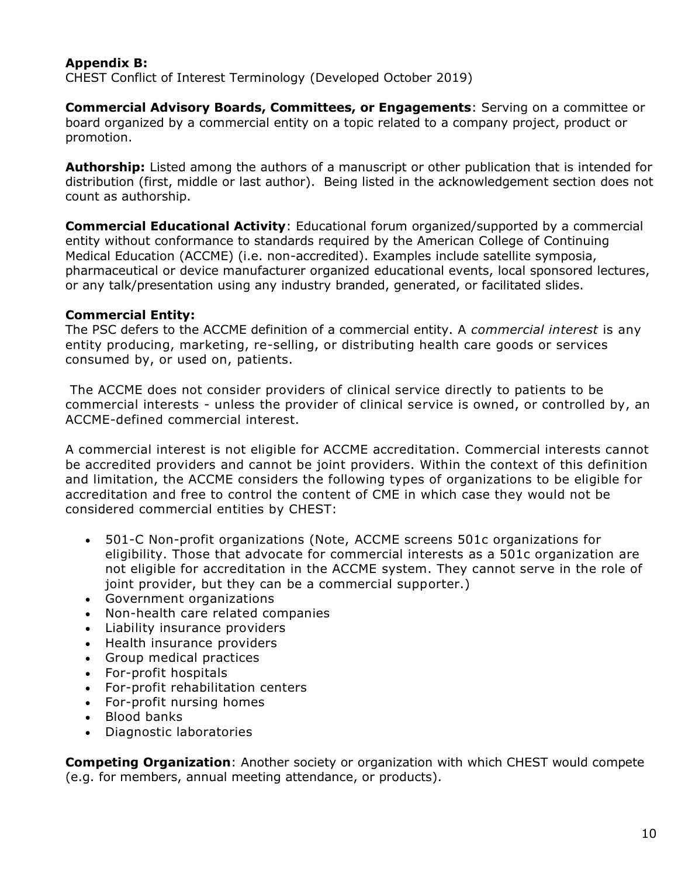# <span id="page-9-0"></span>**Appendix B:**

CHEST Conflict of Interest Terminology (Developed October 2019)

**Commercial Advisory Boards, Committees, or Engagements**: Serving on a committee or board organized by a commercial entity on a topic related to a company project, product or promotion.

**Authorship:** Listed among the authors of a manuscript or other publication that is intended for distribution (first, middle or last author). Being listed in the acknowledgement section does not count as authorship.

**Commercial Educational Activity**: Educational forum organized/supported by a commercial entity without conformance to standards required by the American College of Continuing Medical Education (ACCME) (i.e. non-accredited). Examples include satellite symposia, pharmaceutical or device manufacturer organized educational events, local sponsored lectures, or any talk/presentation using any industry branded, generated, or facilitated slides.

# **Commercial Entity:**

The PSC defers to the ACCME definition of a commercial entity. A *commercial interest* is any entity producing, marketing, re-selling, or distributing health care goods or services consumed by, or used on, patients.

The ACCME does not consider providers of clinical service directly to patients to be commercial interests - unless the provider of clinical service is owned, or controlled by, an ACCME-defined commercial interest.

A commercial interest is not eligible for ACCME accreditation. Commercial interests cannot be accredited providers and cannot be joint providers. Within the context of this definition and limitation, the ACCME considers the following types of organizations to be eligible for accreditation and free to control the content of CME in which case they would not be considered commercial entities by CHEST:

- 501-C Non-profit organizations (Note, ACCME screens 501c organizations for eligibility. Those that advocate for commercial interests as a 501c organization are not eligible for accreditation in the ACCME system. They cannot serve in the role of joint provider, but they can be a commercial supporter.)
- Government organizations
- Non-health care related companies
- Liability insurance providers
- Health insurance providers
- Group medical practices
- For-profit hospitals
- For-profit rehabilitation centers
- For-profit nursing homes
- Blood banks
- Diagnostic laboratories

**Competing Organization**: Another society or organization with which CHEST would compete (e.g. for members, annual meeting attendance, or products).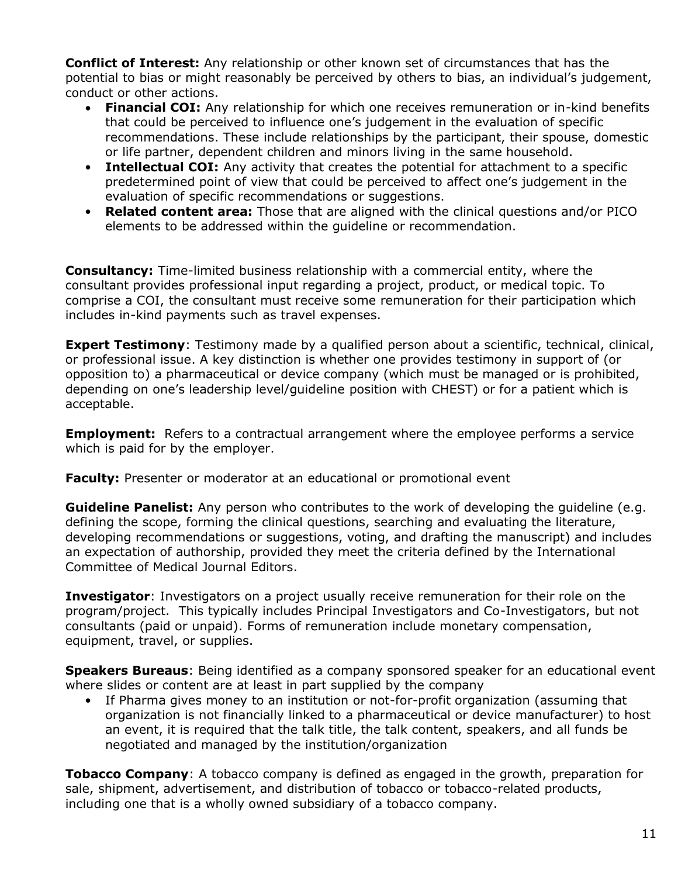**Conflict of Interest:** Any relationship or other known set of circumstances that has the potential to bias or might reasonably be perceived by others to bias, an individual's judgement, conduct or other actions.

- **Financial COI:** Any relationship for which one receives remuneration or in-kind benefits that could be perceived to influence one's judgement in the evaluation of specific recommendations. These include relationships by the participant, their spouse, domestic or life partner, dependent children and minors living in the same household.
- **Intellectual COI:** Any activity that creates the potential for attachment to a specific predetermined point of view that could be perceived to affect one's judgement in the evaluation of specific recommendations or suggestions.
- **Related content area:** Those that are aligned with the clinical questions and/or PICO elements to be addressed within the guideline or recommendation.

**Consultancy:** Time-limited business relationship with a commercial entity, where the consultant provides professional input regarding a project, product, or medical topic. To comprise a COI, the consultant must receive some remuneration for their participation which includes in-kind payments such as travel expenses.

**Expert Testimony**: Testimony made by a qualified person about a scientific, technical, clinical, or professional issue. A key distinction is whether one provides testimony in support of (or opposition to) a pharmaceutical or device company (which must be managed or is prohibited, depending on one's leadership level/guideline position with CHEST) or for a patient which is acceptable.

**Employment:** Refers to a contractual arrangement where the employee performs a service which is paid for by the employer.

**Faculty:** Presenter or moderator at an educational or promotional event

**Guideline Panelist:** Any person who contributes to the work of developing the quideline (e.g. defining the scope, forming the clinical questions, searching and evaluating the literature, developing recommendations or suggestions, voting, and drafting the manuscript) and includes an expectation of authorship, provided they meet the criteria defined by the International Committee of Medical Journal Editors.

**Investigator**: Investigators on a project usually receive remuneration for their role on the program/project. This typically includes Principal Investigators and Co-Investigators, but not consultants (paid or unpaid). Forms of remuneration include monetary compensation, equipment, travel, or supplies.

**Speakers Bureaus**: Being identified as a company sponsored speaker for an educational event where slides or content are at least in part supplied by the company

If Pharma gives money to an institution or not-for-profit organization (assuming that organization is not financially linked to a pharmaceutical or device manufacturer) to host an event, it is required that the talk title, the talk content, speakers, and all funds be negotiated and managed by the institution/organization

**Tobacco Company**: A tobacco company is defined as engaged in the growth, preparation for sale, shipment, advertisement, and distribution of tobacco or tobacco-related products, including one that is a wholly owned subsidiary of a tobacco company.